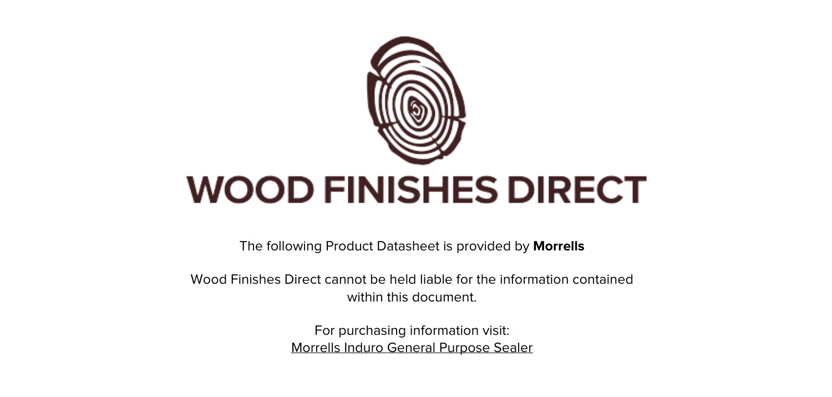

The following Product Datasheet is provided by **Morrells**

Wood Finishes Direct cannot be held liable for the information contained within this document

> For purchasing information visit: [Morrells Induro General Purpose Sealer](https://www.wood-finishes-direct.com/product/morrells-induro-general-purpose-sealer)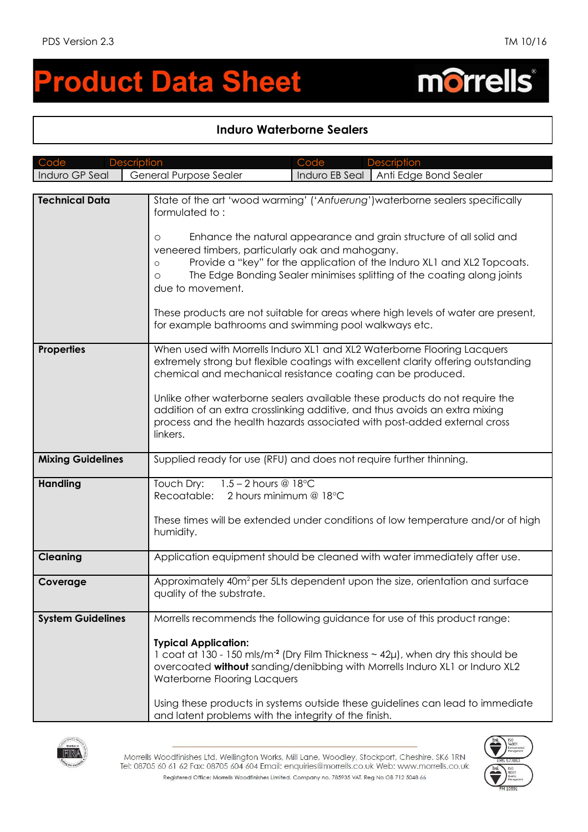morrells®

# **roduct Data Sheet**

# **Induro Waterborne Sealers**

| Code                     | Code<br><b>Description</b><br><b>Description</b>                                                                                                                                                                                                                                                                                                                                                                                                                                                                                                                                    |  |  |  |
|--------------------------|-------------------------------------------------------------------------------------------------------------------------------------------------------------------------------------------------------------------------------------------------------------------------------------------------------------------------------------------------------------------------------------------------------------------------------------------------------------------------------------------------------------------------------------------------------------------------------------|--|--|--|
| Induro GP Seal           | General Purpose Sealer<br>Induro EB Seal   Anti Edge Bond Sealer                                                                                                                                                                                                                                                                                                                                                                                                                                                                                                                    |  |  |  |
|                          |                                                                                                                                                                                                                                                                                                                                                                                                                                                                                                                                                                                     |  |  |  |
| <b>Technical Data</b>    | State of the art 'wood warming' ('Anfuerung') waterborne sealers specifically<br>formulated to:<br>Enhance the natural appearance and grain structure of all solid and<br>$\circ$<br>veneered timbers, particularly oak and mahogany.<br>Provide a "key" for the application of the Induro XL1 and XL2 Topcoats.<br>$\circ$<br>The Edge Bonding Sealer minimises splitting of the coating along joints<br>$\circ$<br>due to movement.<br>These products are not suitable for areas where high levels of water are present,<br>for example bathrooms and swimming pool walkways etc. |  |  |  |
|                          |                                                                                                                                                                                                                                                                                                                                                                                                                                                                                                                                                                                     |  |  |  |
| <b>Properties</b>        | When used with Morrells Induro XL1 and XL2 Waterborne Flooring Lacquers<br>extremely strong but flexible coatings with excellent clarity offering outstanding<br>chemical and mechanical resistance coating can be produced.<br>Unlike other waterborne sealers available these products do not require the<br>addition of an extra crosslinking additive, and thus avoids an extra mixing<br>process and the health hazards associated with post-added external cross<br>linkers.                                                                                                  |  |  |  |
| <b>Mixing Guidelines</b> | Supplied ready for use (RFU) and does not require further thinning.                                                                                                                                                                                                                                                                                                                                                                                                                                                                                                                 |  |  |  |
| <b>Handling</b>          | Touch Dry:<br>$1.5 - 2$ hours @ 18 $^{\circ}$ C<br>Recoatable:<br>2 hours minimum @ 18°C<br>These times will be extended under conditions of low temperature and/or of high<br>humidity.                                                                                                                                                                                                                                                                                                                                                                                            |  |  |  |
| <b>Cleaning</b>          | Application equipment should be cleaned with water immediately after use.                                                                                                                                                                                                                                                                                                                                                                                                                                                                                                           |  |  |  |
| Coverage                 | Approximately 40m <sup>2</sup> per 5Lts dependent upon the size, orientation and surface<br>quality of the substrate.                                                                                                                                                                                                                                                                                                                                                                                                                                                               |  |  |  |
| <b>System Guidelines</b> | Morrells recommends the following guidance for use of this product range:                                                                                                                                                                                                                                                                                                                                                                                                                                                                                                           |  |  |  |
|                          | <b>Typical Application:</b><br>1 coat at 130 - 150 mls/m <sup>2</sup> (Dry Film Thickness $\sim$ 42 $\mu$ ), when dry this should be<br>overcoated without sanding/denibbing with Morrells Induro XL1 or Induro XL2<br>Waterborne Flooring Lacquers<br>Using these products in systems outside these guidelines can lead to immediate<br>and latent problems with the integrity of the finish.                                                                                                                                                                                      |  |  |  |



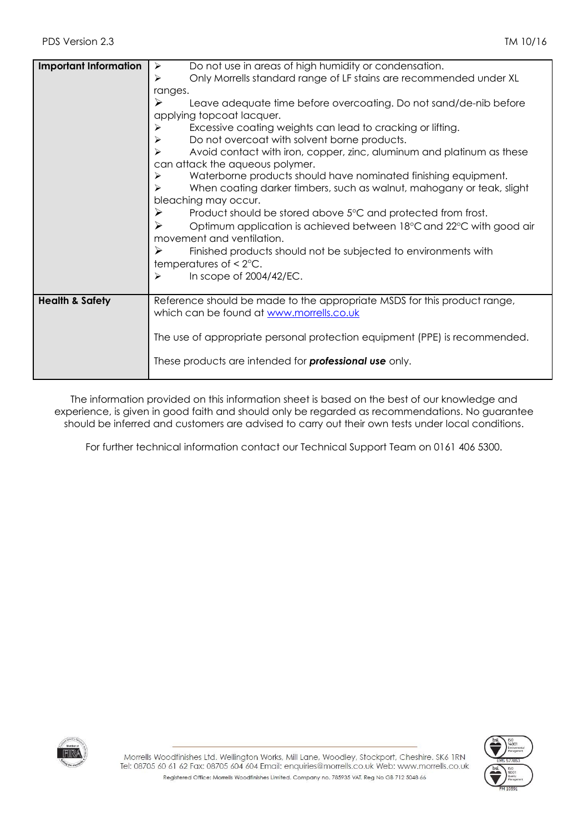| <b>Important Information</b> | Do not use in areas of high humidity or condensation.<br>$\blacktriangleright$                                                                                                       |  |  |  |  |
|------------------------------|--------------------------------------------------------------------------------------------------------------------------------------------------------------------------------------|--|--|--|--|
|                              | Only Morrells standard range of LF stains are recommended under XL<br>➤                                                                                                              |  |  |  |  |
|                              | ranges.                                                                                                                                                                              |  |  |  |  |
|                              | Leave adequate time before overcoating. Do not sand/de-nib before<br>➤                                                                                                               |  |  |  |  |
|                              | applying topcoat lacquer.                                                                                                                                                            |  |  |  |  |
|                              | Excessive coating weights can lead to cracking or lifting.<br>➤                                                                                                                      |  |  |  |  |
|                              | Do not overcoat with solvent borne products.<br>➤                                                                                                                                    |  |  |  |  |
|                              | Avoid contact with iron, copper, zinc, aluminum and platinum as these<br>➤<br>can attack the aqueous polymer.<br>Waterborne products should have nominated finishing equipment.<br>➤ |  |  |  |  |
|                              |                                                                                                                                                                                      |  |  |  |  |
|                              | When coating darker timbers, such as walnut, mahogany or teak, slight<br>≻                                                                                                           |  |  |  |  |
|                              | bleaching may occur.                                                                                                                                                                 |  |  |  |  |
|                              | ➤<br>Product should be stored above 5°C and protected from frost.                                                                                                                    |  |  |  |  |
|                              | ➤<br>Optimum application is achieved between 18°C and 22°C with good air                                                                                                             |  |  |  |  |
|                              | movement and ventilation.                                                                                                                                                            |  |  |  |  |
|                              | ➤<br>Finished products should not be subjected to environments with                                                                                                                  |  |  |  |  |
|                              | temperatures of $\leq 2^{\circ}C$ .                                                                                                                                                  |  |  |  |  |
|                              | In scope of 2004/42/EC.<br>➤                                                                                                                                                         |  |  |  |  |
|                              |                                                                                                                                                                                      |  |  |  |  |
| <b>Health &amp; Safety</b>   | Reference should be made to the appropriate MSDS for this product range,                                                                                                             |  |  |  |  |
|                              | which can be found at www.morrells.co.uk                                                                                                                                             |  |  |  |  |
|                              |                                                                                                                                                                                      |  |  |  |  |
|                              | The use of appropriate personal protection equipment (PPE) is recommended.                                                                                                           |  |  |  |  |
|                              |                                                                                                                                                                                      |  |  |  |  |
|                              | These products are intended for <b>professional use</b> only.                                                                                                                        |  |  |  |  |
|                              |                                                                                                                                                                                      |  |  |  |  |

The information provided on this information sheet is based on the best of our knowledge and experience, is given in good faith and should only be regarded as recommendations. No guarantee should be inferred and customers are advised to carry out their own tests under local conditions.

For further technical information contact our Technical Support Team on 0161 406 5300.



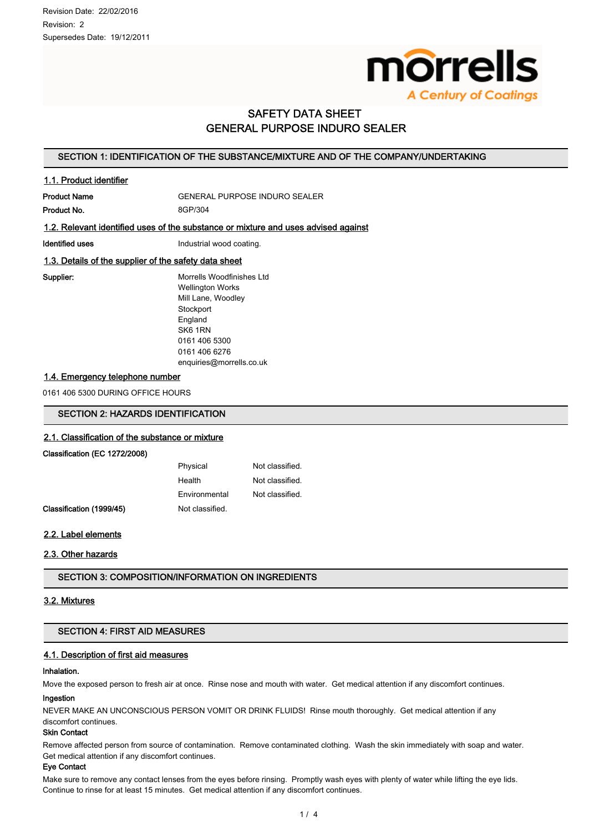

# **SAFETY DATA SHEET GENERAL PURPOSE INDURO SEALER**

## SECTION 1: IDENTIFICATION OF THE SUBSTANCE/MIXTURE AND OF THE COMPANY/UNDERTAKING

## 1.1. Product identifier

**Product Name** 

GENERAL PURPOSE INDURO SEALER

Product No.

8GP/304

## 1.2. Relevant identified uses of the substance or mixture and uses advised against

**Identified uses** 

Industrial wood coating.

## 1.3. Details of the supplier of the safety data sheet

Supplier:

Morrells Woodfinishes Ltd **Wellington Works** Mill Lane, Woodley Stockport England SK6 1RN 0161 406 5300 0161 406 6276 enquiries@morrells.co.uk

## 1.4. Emergency telephone number

0161 406 5300 DURING OFFICE HOURS

## **SECTION 2: HAZARDS IDENTIFICATION**

## 2.1. Classification of the substance or mixture

## Classification (EC 1272/2008)

| Physical        | Not classified. |
|-----------------|-----------------|
| Health          | Not classified. |
| Environmental   | Not classified. |
| Not classified. |                 |

# 2.2. Label elements

Classification (1999/45)

## 2.3. Other hazards

**SECTION 3: COMPOSITION/INFORMATION ON INGREDIENTS** 

## 3.2. Mixtures

## **SECTION 4: FIRST AID MEASURES**

## 4.1. Description of first aid measures

#### Inhalation.

Move the exposed person to fresh air at once. Rinse nose and mouth with water. Get medical attention if any discomfort continues.

#### Ingestion

NEVER MAKE AN UNCONSCIOUS PERSON VOMIT OR DRINK FLUIDS! Rinse mouth thoroughly. Get medical attention if any discomfort continues.

## **Skin Contact**

Remove affected person from source of contamination. Remove contaminated clothing. Wash the skin immediately with soap and water. Get medical attention if any discomfort continues.

#### **Eye Contact**

Make sure to remove any contact lenses from the eyes before rinsing. Promptly wash eyes with plenty of water while lifting the eye lids. Continue to rinse for at least 15 minutes. Get medical attention if any discomfort continues.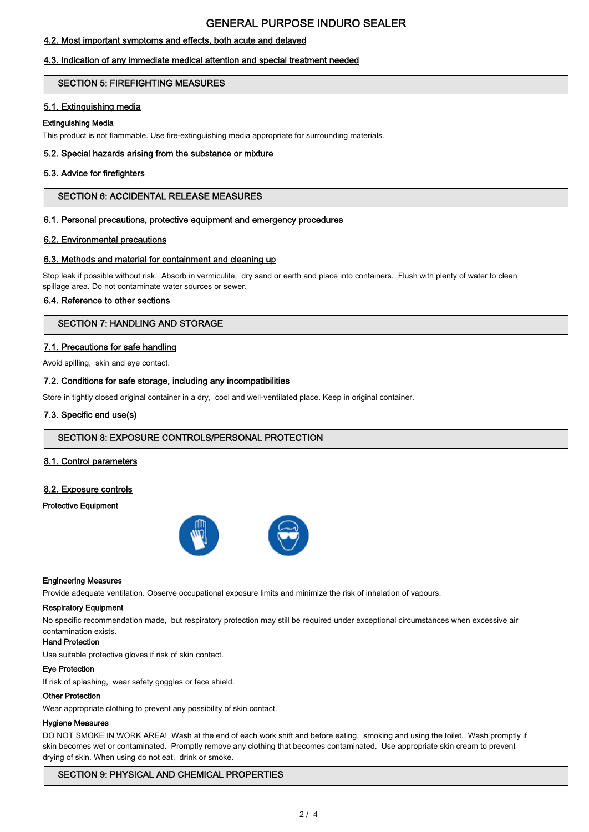# **GENERAL PURPOSE INDURO SEALER**

## 4.2. Most important symptoms and effects, both acute and delayed

## 4.3. Indication of any immediate medical attention and special treatment needed

## **SECTION 5: FIREFIGHTING MEASURES**

## 5.1. Extinguishing media

## **Extinguishing Media**

This product is not flammable. Use fire-extinguishing media appropriate for surrounding materials.

## 5.2. Special hazards arising from the substance or mixture

## 5.3. Advice for firefighters

## **SECTION 6: ACCIDENTAL RELEASE MEASURES**

## 6.1. Personal precautions, protective equipment and emergency procedures

## 6.2. Environmental precautions

## 6.3. Methods and material for containment and cleaning up

Stop leak if possible without risk. Absorb in vermiculite, dry sand or earth and place into containers. Flush with plenty of water to clean spillage area. Do not contaminate water sources or sewer.

## 6.4. Reference to other sections

## **SECTION 7: HANDLING AND STORAGE**

## 7.1. Precautions for safe handling

Avoid spilling, skin and eye contact.

## 7.2. Conditions for safe storage, including any incompatibilities

Store in tightly closed original container in a dry, cool and well-ventilated place. Keep in original container.

## 7.3. Specific end use(s)

## SECTION 8: EXPOSURE CONTROLS/PERSONAL PROTECTION

## 8.1. Control parameters

## 8.2. Exposure controls

## **Protective Equipment**



#### **Engineering Measures**

Provide adequate ventilation. Observe occupational exposure limits and minimize the risk of inhalation of vapours.

#### **Respiratory Equipment**

No specific recommendation made, but respiratory protection may still be required under exceptional circumstances when excessive air contamination exists.

## **Hand Protection**

Use suitable protective gloves if risk of skin contact.

#### **Eve Protection**

If risk of splashing, wear safety goggles or face shield.

#### **Other Protection**

Wear appropriate clothing to prevent any possibility of skin contact.

#### **Hygiene Measures**

DO NOT SMOKE IN WORK AREA! Wash at the end of each work shift and before eating, smoking and using the toilet. Wash promptly if skin becomes wet or contaminated. Promptly remove any clothing that becomes contaminated. Use appropriate skin cream to prevent drying of skin. When using do not eat, drink or smoke.

## **SECTION 9: PHYSICAL AND CHEMICAL PROPERTIES**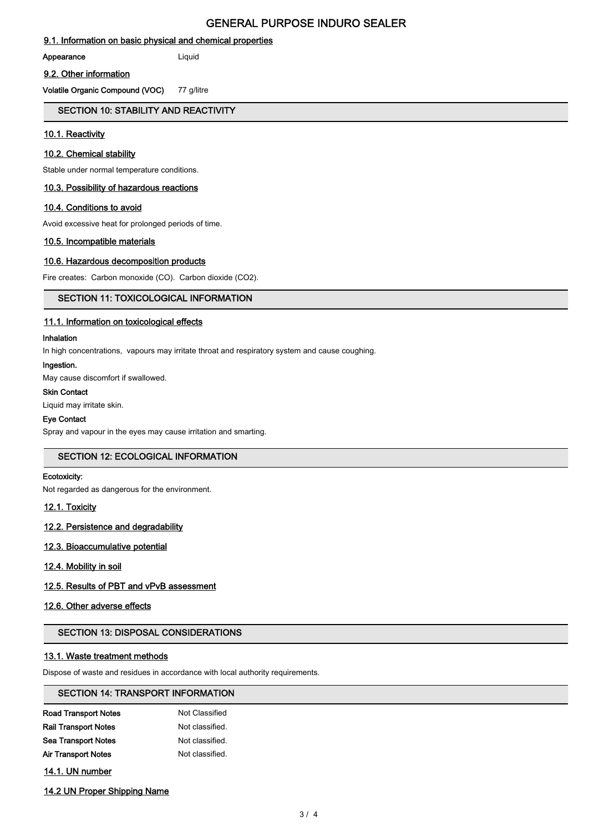# **GENERAL PURPOSE INDURO SEALER**

## 9.1. Information on basic physical and chemical properties

Appearance

Liquid

#### 9.2. Other information

Volatile Organic Compound (VOC) 77 g/litre

## SECTION 10: STABILITY AND REACTIVITY

## 10.1. Reactivity

## 10.2. Chemical stability

Stable under normal temperature conditions.

## 10.3. Possibility of hazardous reactions

## 10.4. Conditions to avoid

Avoid excessive heat for prolonged periods of time.

## 10.5. Incompatible materials

## 10.6. Hazardous decomposition products

Fire creates: Carbon monoxide (CO). Carbon dioxide (CO2).

## **SECTION 11: TOXICOLOGICAL INFORMATION**

## 11.1. Information on toxicological effects

## Inhalation

In high concentrations, vapours may irritate throat and respiratory system and cause coughing.

#### Ingestion.

May cause discomfort if swallowed.

## **Skin Contact**

Liquid may irritate skin.

## **Eye Contact**

Spray and vapour in the eyes may cause irritation and smarting.

## **SECTION 12: ECOLOGICAL INFORMATION**

## Ecotoxicity:

Not regarded as dangerous for the environment.

## 12.1. Toxicity

## 12.2. Persistence and degradability

## 12.3. Bioaccumulative potential

## 12.4. Mobility in soil

# 12.5. Results of PBT and vPvB assessment

## 12.6. Other adverse effects

## **SECTION 13: DISPOSAL CONSIDERATIONS**

## 13.1. Waste treatment methods

Dispose of waste and residues in accordance with local authority requirements.

## **SECTION 14: TRANSPORT INFORMATION**

| Road Transport Notes | Not Classified  |
|----------------------|-----------------|
| Rail Transport Notes | Not classified. |
| Sea Transport Notes  | Not classified. |
| Air Transport Notes  | Not classified. |
|                      |                 |

14.1. UN number

## 14.2 UN Proper Shipping Name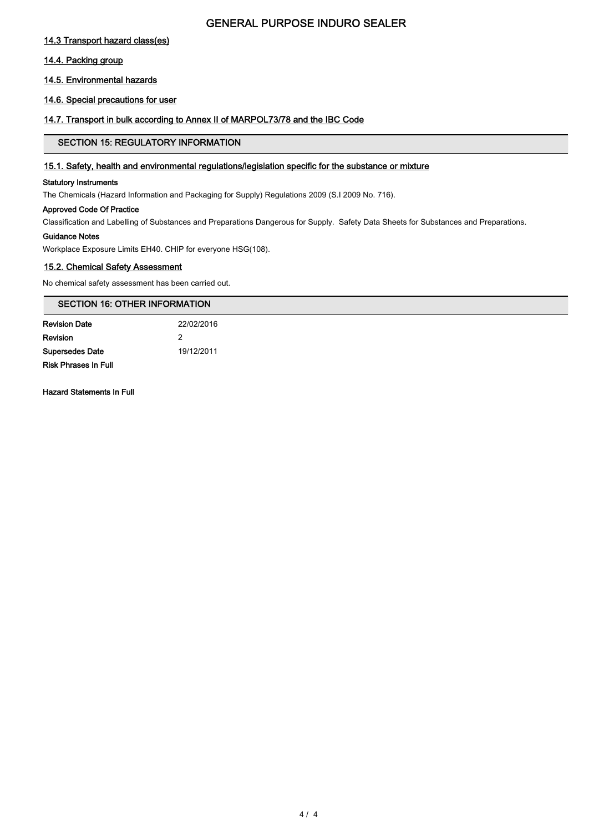# **GENERAL PURPOSE INDURO SEALER**

## 14.3 Transport hazard class(es)

## 14.4. Packing group

## 14.5. Environmental hazards

## 14.6. Special precautions for user

## 14.7. Transport in bulk according to Annex II of MARPOL73/78 and the IBC Code

## **SECTION 15: REGULATORY INFORMATION**

## 15.1. Safety, health and environmental regulations/legislation specific for the substance or mixture

## **Statutory Instruments**

The Chemicals (Hazard Information and Packaging for Supply) Regulations 2009 (S.I 2009 No. 716).

## **Approved Code Of Practice**

Classification and Labelling of Substances and Preparations Dangerous for Supply. Safety Data Sheets for Substances and Preparations.

## **Guidance Notes**

Workplace Exposure Limits EH40. CHIP for everyone HSG(108).

# 15.2. Chemical Safety Assessment

No chemical safety assessment has been carried out.

# **SECTION 16: OTHER INFORMATION**

| <b>Revision Date</b>        | 22/02/2016 |  |  |
|-----------------------------|------------|--|--|
| Revision                    |            |  |  |
| <b>Supersedes Date</b>      | 19/12/2011 |  |  |
| <b>Risk Phrases In Full</b> |            |  |  |

**Hazard Statements In Full**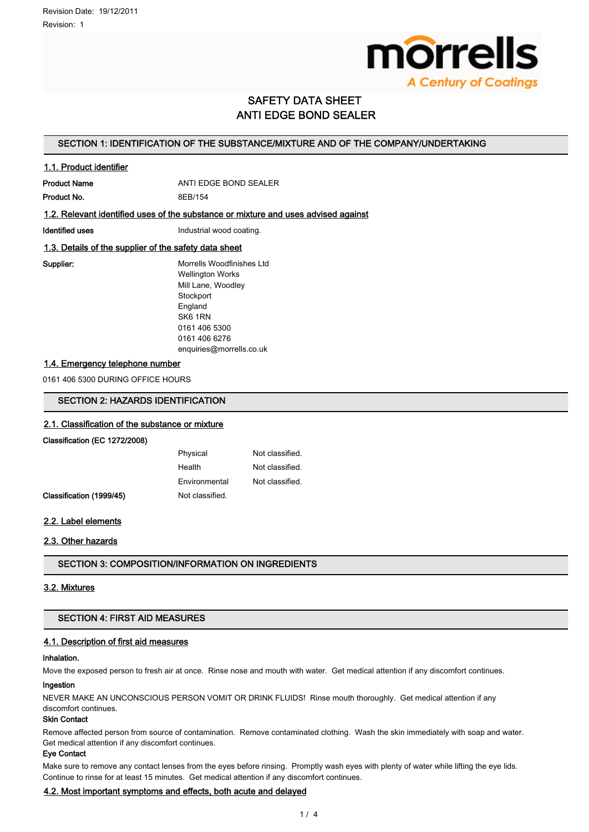

# **SAFETY DATA SHEET ANTI EDGE BOND SEALER**

## SECTION 1: IDENTIFICATION OF THE SUBSTANCE/MIXTURE AND OF THE COMPANY/UNDERTAKING

## 1.1. Product identifier

**Product Name** ANTI EDGE BOND SEALER Product No. 8EB/154

## 1.2. Relevant identified uses of the substance or mixture and uses advised against

**Identified uses** 

Industrial wood coating.

## 1.3. Details of the supplier of the safety data sheet

Supplier:

Morrells Woodfinishes Ltd **Wellington Works** Mill Lane, Woodley Stockport England SK6 1RN 0161 406 5300 0161 406 6276 enquiries@morrells.co.uk

## 1.4. Emergency telephone number

0161 406 5300 DURING OFFICE HOURS

## **SECTION 2: HAZARDS IDENTIFICATION**

## 2.1. Classification of the substance or mixture

#### Classification (EC 1272/2008)

| Physical        | Not classified. |
|-----------------|-----------------|
| Health          | Not classified. |
| Environmental   | Not classified. |
| Not classified. |                 |

## 2.2. Label elements

Classification (1999/45)

## 2.3. Other hazards

**SECTION 3: COMPOSITION/INFORMATION ON INGREDIENTS** 

## 3.2. Mixtures

## **SECTION 4: FIRST AID MEASURES**

## 4.1. Description of first aid measures

#### Inhalation.

Move the exposed person to fresh air at once. Rinse nose and mouth with water. Get medical attention if any discomfort continues.

#### Ingestion

NEVER MAKE AN UNCONSCIOUS PERSON VOMIT OR DRINK FLUIDS! Rinse mouth thoroughly. Get medical attention if any discomfort continues.

## **Skin Contact**

Remove affected person from source of contamination. Remove contaminated clothing. Wash the skin immediately with soap and water. Get medical attention if any discomfort continues.

#### **Eye Contact**

Make sure to remove any contact lenses from the eyes before rinsing. Promptly wash eyes with plenty of water while lifting the eye lids. Continue to rinse for at least 15 minutes. Get medical attention if any discomfort continues.

## 4.2. Most important symptoms and effects, both acute and delayed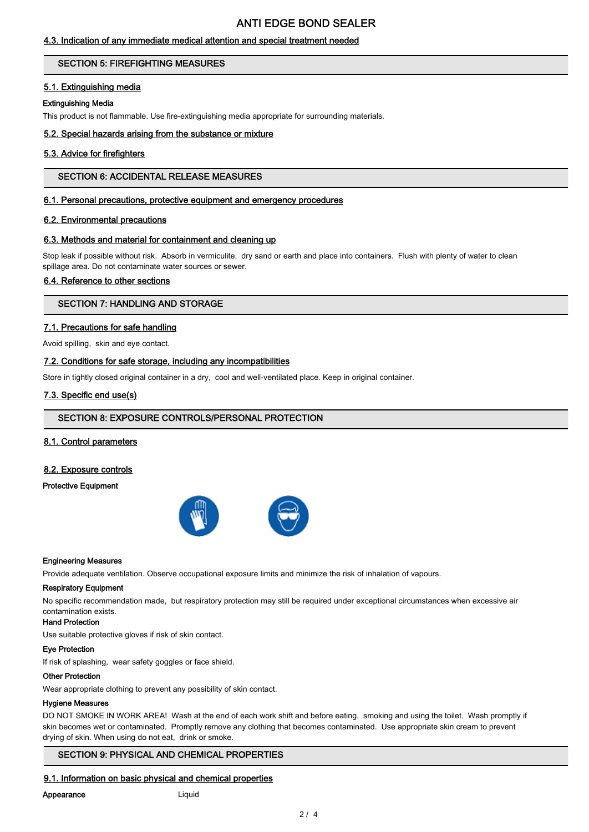# **ANTI EDGE BOND SEALER**

## 4.3. Indication of any immediate medical attention and special treatment needed

## **SECTION 5: FIREFIGHTING MEASURES**

## 5.1. Extinguishing media

## Extinguishing Media

This product is not flammable. Use fire-extinguishing media appropriate for surrounding materials.

## 5.2. Special hazards arising from the substance or mixture

## 5.3. Advice for firefighters

## **SECTION 6: ACCIDENTAL RELEASE MEASURES**

## 6.1. Personal precautions, protective equipment and emergency procedures

## 6.2. Environmental precautions

## 6.3. Methods and material for containment and cleaning up

Stop leak if possible without risk. Absorb in vermiculite, dry sand or earth and place into containers. Flush with plenty of water to clean spillage area. Do not contaminate water sources or sewer.

## 6.4. Reference to other sections

## **SECTION 7: HANDLING AND STORAGE**

## 7.1. Precautions for safe handling

Avoid spilling, skin and eye contact.

## 7.2. Conditions for safe storage, including any incompatibilities

Store in tightly closed original container in a dry, cool and well-ventilated place. Keep in original container.

## 7.3. Specific end use(s)

## SECTION 8: EXPOSURE CONTROLS/PERSONAL PROTECTION

## 8.1. Control parameters

## 8.2. Exposure controls

## **Protective Equipment**



#### **Engineering Measures**

Provide adequate ventilation. Observe occupational exposure limits and minimize the risk of inhalation of vapours.

#### **Respiratory Equipment**

No specific recommendation made, but respiratory protection may still be required under exceptional circumstances when excessive air contamination exists.

#### **Hand Protection**

Use suitable protective gloves if risk of skin contact.

#### **Eye Protection**

If risk of splashing, wear safety goggles or face shield.

#### **Other Protection**

Wear appropriate clothing to prevent any possibility of skin contact.

#### **Hygiene Measures**

DO NOT SMOKE IN WORK AREA! Wash at the end of each work shift and before eating, smoking and using the toilet. Wash promptly if skin becomes wet or contaminated. Promptly remove any clothing that becomes contaminated. Use appropriate skin cream to prevent drying of skin. When using do not eat, drink or smoke.

## **SECTION 9: PHYSICAL AND CHEMICAL PROPERTIES**

## 9.1. Information on basic physical and chemical properties

#### Appearance

# Liquid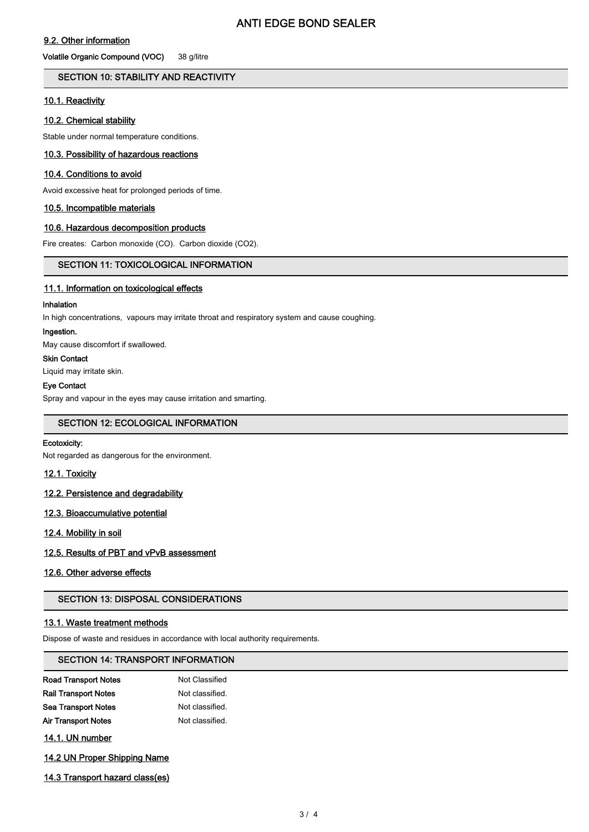## 9.2. Other information

Volatile Organic Compound (VOC) 38 g/litre

## SECTION 10: STABILITY AND REACTIVITY

## 10.1. Reactivity

## 10.2. Chemical stability

Stable under normal temperature conditions.

## 10.3. Possibility of hazardous reactions

## 10.4. Conditions to avoid

Avoid excessive heat for prolonged periods of time.

## 10.5. Incompatible materials

## 10.6. Hazardous decomposition products

Fire creates: Carbon monoxide (CO). Carbon dioxide (CO2).

## **SECTION 11: TOXICOLOGICAL INFORMATION**

## 11.1. Information on toxicological effects

## Inhalation

In high concentrations, vapours may irritate throat and respiratory system and cause coughing.

#### Ingestion.

May cause discomfort if swallowed.

## **Skin Contact**

Liquid may irritate skin.

## **Eye Contact**

Spray and vapour in the eyes may cause irritation and smarting.

## **SECTION 12: ECOLOGICAL INFORMATION**

## Ecotoxicity:

Not regarded as dangerous for the environment.

12.1. Toxicity

## 12.2. Persistence and degradability

## 12.3. Bioaccumulative potential

12.4. Mobility in soil

## 12.5. Results of PBT and vPvB assessment

## 12.6. Other adverse effects

## **SECTION 13: DISPOSAL CONSIDERATIONS**

## 13.1. Waste treatment methods

Dispose of waste and residues in accordance with local authority requirements.

## **SECTION 14: TRANSPORT INFORMATION**

| <b>Road Transport Notes</b> | Not Classified  |
|-----------------------------|-----------------|
| <b>Rail Transport Notes</b> | Not classified. |
| <b>Sea Transport Notes</b>  | Not classified. |
| Air Transport Notes         | Not classified. |

14.1. UN number

## 14.2 UN Proper Shipping Name

14.3 Transport hazard class(es)